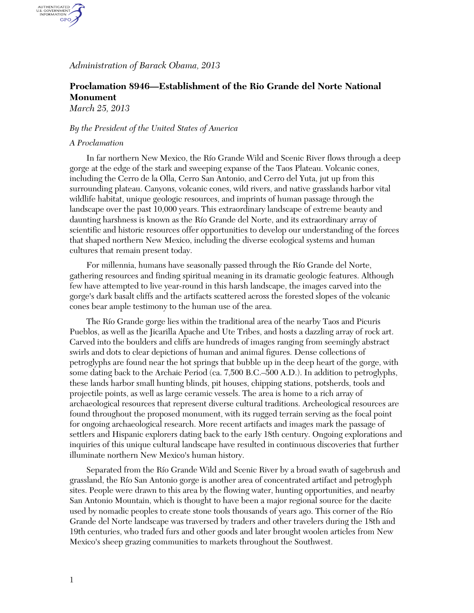*Administration of Barack Obama, 2013* 

## **Proclamation 8946—Establishment of the Rio Grande del Norte National Monument**

*March 25, 2013* 

AUTHENTICATED<br>U.S. GOVERNMENT<br>INFORMATION GPO.

## *By the President of the United States of America*

## *A Proclamation*

In far northern New Mexico, the Río Grande Wild and Scenic River flows through a deep gorge at the edge of the stark and sweeping expanse of the Taos Plateau. Volcanic cones, including the Cerro de la Olla, Cerro San Antonio, and Cerro del Yuta, jut up from this surrounding plateau. Canyons, volcanic cones, wild rivers, and native grasslands harbor vital wildlife habitat, unique geologic resources, and imprints of human passage through the landscape over the past 10,000 years. This extraordinary landscape of extreme beauty and daunting harshness is known as the Río Grande del Norte, and its extraordinary array of scientific and historic resources offer opportunities to develop our understanding of the forces that shaped northern New Mexico, including the diverse ecological systems and human cultures that remain present today.

For millennia, humans have seasonally passed through the Río Grande del Norte, gathering resources and finding spiritual meaning in its dramatic geologic features. Although few have attempted to live year-round in this harsh landscape, the images carved into the gorge's dark basalt cliffs and the artifacts scattered across the forested slopes of the volcanic cones bear ample testimony to the human use of the area.

The Río Grande gorge lies within the traditional area of the nearby Taos and Picuris Pueblos, as well as the Jicarilla Apache and Ute Tribes, and hosts a dazzling array of rock art. Carved into the boulders and cliffs are hundreds of images ranging from seemingly abstract swirls and dots to clear depictions of human and animal figures. Dense collections of petroglyphs are found near the hot springs that bubble up in the deep heart of the gorge, with some dating back to the Archaic Period (ca. 7,500 B.C.–500 A.D.). In addition to petroglyphs, these lands harbor small hunting blinds, pit houses, chipping stations, potsherds, tools and projectile points, as well as large ceramic vessels. The area is home to a rich array of archaeological resources that represent diverse cultural traditions. Archeological resources are found throughout the proposed monument, with its rugged terrain serving as the focal point for ongoing archaeological research. More recent artifacts and images mark the passage of settlers and Hispanic explorers dating back to the early 18th century. Ongoing explorations and inquiries of this unique cultural landscape have resulted in continuous discoveries that further illuminate northern New Mexico's human history.

Separated from the Río Grande Wild and Scenic River by a broad swath of sagebrush and grassland, the Río San Antonio gorge is another area of concentrated artifact and petroglyph sites. People were drawn to this area by the flowing water, hunting opportunities, and nearby San Antonio Mountain, which is thought to have been a major regional source for the dacite used by nomadic peoples to create stone tools thousands of years ago. This corner of the Río Grande del Norte landscape was traversed by traders and other travelers during the 18th and 19th centuries, who traded furs and other goods and later brought woolen articles from New Mexico's sheep grazing communities to markets throughout the Southwest.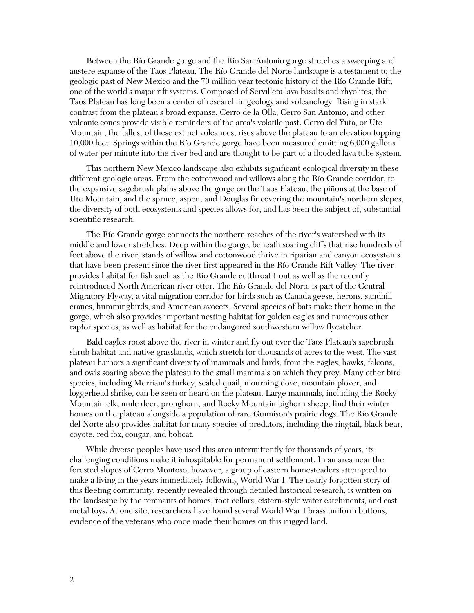Between the Río Grande gorge and the Río San Antonio gorge stretches a sweeping and austere expanse of the Taos Plateau. The Río Grande del Norte landscape is a testament to the geologic past of New Mexico and the 70 million year tectonic history of the Río Grande Rift, one of the world's major rift systems. Composed of Servilleta lava basalts and rhyolites, the Taos Plateau has long been a center of research in geology and volcanology. Rising in stark contrast from the plateau's broad expanse, Cerro de la Olla, Cerro San Antonio, and other volcanic cones provide visible reminders of the area's volatile past. Cerro del Yuta, or Ute Mountain, the tallest of these extinct volcanoes, rises above the plateau to an elevation topping 10,000 feet. Springs within the Río Grande gorge have been measured emitting 6,000 gallons of water per minute into the river bed and are thought to be part of a flooded lava tube system.

This northern New Mexico landscape also exhibits significant ecological diversity in these different geologic areas. From the cottonwood and willows along the Río Grande corridor, to the expansive sagebrush plains above the gorge on the Taos Plateau, the piñons at the base of Ute Mountain, and the spruce, aspen, and Douglas fir covering the mountain's northern slopes, the diversity of both ecosystems and species allows for, and has been the subject of, substantial scientific research.

The Río Grande gorge connects the northern reaches of the river's watershed with its middle and lower stretches. Deep within the gorge, beneath soaring cliffs that rise hundreds of feet above the river, stands of willow and cottonwood thrive in riparian and canyon ecosystems that have been present since the river first appeared in the Río Grande Rift Valley. The river provides habitat for fish such as the Río Grande cutthroat trout as well as the recently reintroduced North American river otter. The Río Grande del Norte is part of the Central Migratory Flyway, a vital migration corridor for birds such as Canada geese, herons, sandhill cranes, hummingbirds, and American avocets. Several species of bats make their home in the gorge, which also provides important nesting habitat for golden eagles and numerous other raptor species, as well as habitat for the endangered southwestern willow flycatcher.

Bald eagles roost above the river in winter and fly out over the Taos Plateau's sagebrush shrub habitat and native grasslands, which stretch for thousands of acres to the west. The vast plateau harbors a significant diversity of mammals and birds, from the eagles, hawks, falcons, and owls soaring above the plateau to the small mammals on which they prey. Many other bird species, including Merriam's turkey, scaled quail, mourning dove, mountain plover, and loggerhead shrike, can be seen or heard on the plateau. Large mammals, including the Rocky Mountain elk, mule deer, pronghorn, and Rocky Mountain bighorn sheep, find their winter homes on the plateau alongside a population of rare Gunnison's prairie dogs. The Río Grande del Norte also provides habitat for many species of predators, including the ringtail, black bear, coyote, red fox, cougar, and bobcat.

While diverse peoples have used this area intermittently for thousands of years, its challenging conditions make it inhospitable for permanent settlement. In an area near the forested slopes of Cerro Montoso, however, a group of eastern homesteaders attempted to make a living in the years immediately following World War I. The nearly forgotten story of this fleeting community, recently revealed through detailed historical research, is written on the landscape by the remnants of homes, root cellars, cistern-style water catchments, and cast metal toys. At one site, researchers have found several World War I brass uniform buttons, evidence of the veterans who once made their homes on this rugged land.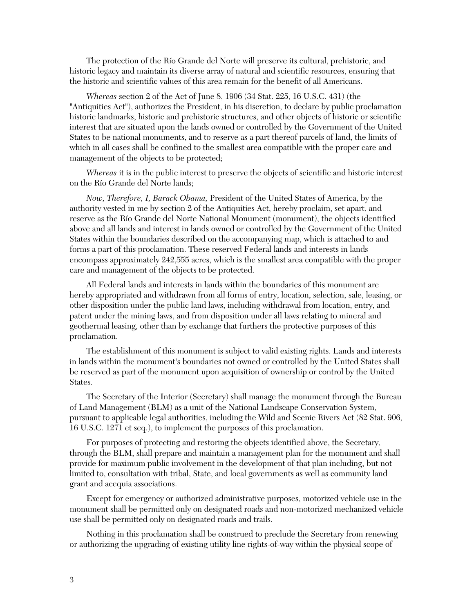The protection of the Río Grande del Norte will preserve its cultural, prehistoric, and historic legacy and maintain its diverse array of natural and scientific resources, ensuring that the historic and scientific values of this area remain for the benefit of all Americans.

*Whereas* section 2 of the Act of June 8, 1906 (34 Stat. 225, 16 U.S.C. 431) (the "Antiquities Act"), authorizes the President, in his discretion, to declare by public proclamation historic landmarks, historic and prehistoric structures, and other objects of historic or scientific interest that are situated upon the lands owned or controlled by the Government of the United States to be national monuments, and to reserve as a part thereof parcels of land, the limits of which in all cases shall be confined to the smallest area compatible with the proper care and management of the objects to be protected;

*Whereas* it is in the public interest to preserve the objects of scientific and historic interest on the Río Grande del Norte lands;

*Now, Therefore, I, Barack Obama,* President of the United States of America, by the authority vested in me by section 2 of the Antiquities Act, hereby proclaim, set apart, and reserve as the Río Grande del Norte National Monument (monument), the objects identified above and all lands and interest in lands owned or controlled by the Government of the United States within the boundaries described on the accompanying map, which is attached to and forms a part of this proclamation. These reserved Federal lands and interests in lands encompass approximately 242,555 acres, which is the smallest area compatible with the proper care and management of the objects to be protected.

All Federal lands and interests in lands within the boundaries of this monument are hereby appropriated and withdrawn from all forms of entry, location, selection, sale, leasing, or other disposition under the public land laws, including withdrawal from location, entry, and patent under the mining laws, and from disposition under all laws relating to mineral and geothermal leasing, other than by exchange that furthers the protective purposes of this proclamation.

The establishment of this monument is subject to valid existing rights. Lands and interests in lands within the monument's boundaries not owned or controlled by the United States shall be reserved as part of the monument upon acquisition of ownership or control by the United States.

The Secretary of the Interior (Secretary) shall manage the monument through the Bureau of Land Management (BLM) as a unit of the National Landscape Conservation System, pursuant to applicable legal authorities, including the Wild and Scenic Rivers Act (82 Stat. 906, 16 U.S.C. 1271 et seq.), to implement the purposes of this proclamation.

For purposes of protecting and restoring the objects identified above, the Secretary, through the BLM, shall prepare and maintain a management plan for the monument and shall provide for maximum public involvement in the development of that plan including, but not limited to, consultation with tribal, State, and local governments as well as community land grant and acequia associations.

Except for emergency or authorized administrative purposes, motorized vehicle use in the monument shall be permitted only on designated roads and non-motorized mechanized vehicle use shall be permitted only on designated roads and trails.

Nothing in this proclamation shall be construed to preclude the Secretary from renewing or authorizing the upgrading of existing utility line rights-of-way within the physical scope of